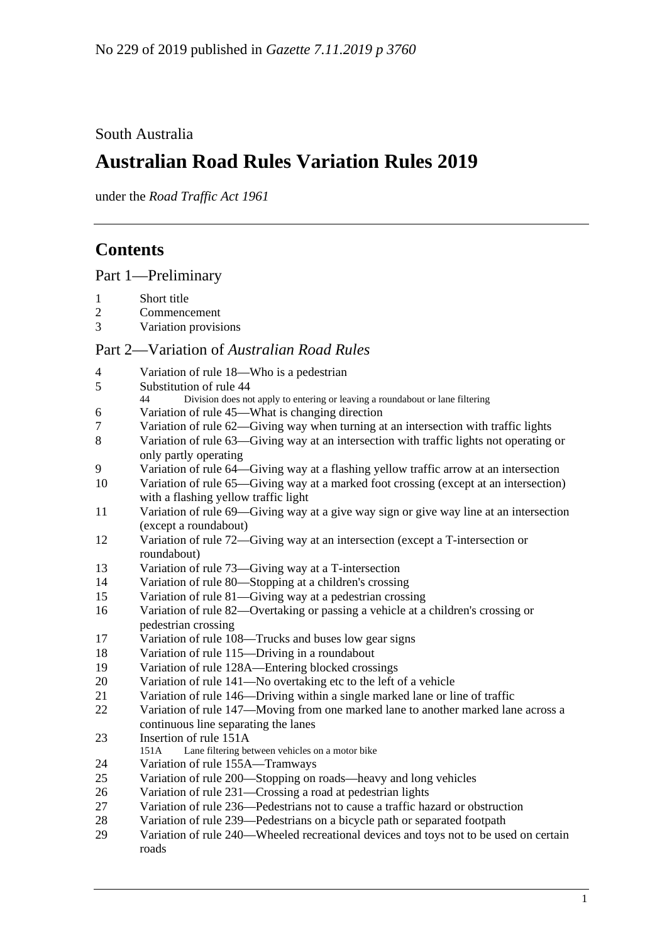## South Australia

# **Australian Road Rules Variation Rules 2019**

under the *Road Traffic Act 1961*

# **Contents**

Part [1—Preliminary](#page-1-0)

- [Short title](#page-1-1)<br>2 Commence
- [Commencement](#page-1-2)<br>3 Variation provisi
- [Variation provisions](#page-1-3)

## Part 2—Variation of *[Australian Road Rules](#page-1-4)*

| $\overline{4}$ | Variation of rule 18—Who is a pedestrian                                                                                      |
|----------------|-------------------------------------------------------------------------------------------------------------------------------|
| 5              | Substitution of rule 44<br>Division does not apply to entering or leaving a roundabout or lane filtering<br>44                |
| 6              | Variation of rule 45—What is changing direction                                                                               |
| 7              | Variation of rule 62—Giving way when turning at an intersection with traffic lights                                           |
| 8              | Variation of rule 63—Giving way at an intersection with traffic lights not operating or<br>only partly operating              |
| 9              | Variation of rule 64—Giving way at a flashing yellow traffic arrow at an intersection                                         |
| 10             | Variation of rule 65—Giving way at a marked foot crossing (except at an intersection)<br>with a flashing yellow traffic light |
| 11             | Variation of rule 69—Giving way at a give way sign or give way line at an intersection                                        |
|                | (except a roundabout)                                                                                                         |
| 12             | Variation of rule 72—Giving way at an intersection (except a T-intersection or                                                |
|                | roundabout)                                                                                                                   |
| 13             | Variation of rule 73—Giving way at a T-intersection                                                                           |
| 14             | Variation of rule 80—Stopping at a children's crossing                                                                        |
| 15             | Variation of rule 81—Giving way at a pedestrian crossing                                                                      |
| 16             | Variation of rule 82—Overtaking or passing a vehicle at a children's crossing or                                              |
|                | pedestrian crossing                                                                                                           |
| 17             | Variation of rule 108—Trucks and buses low gear signs                                                                         |
| 18             | Variation of rule 115-Driving in a roundabout                                                                                 |
| 19             | Variation of rule 128A-Entering blocked crossings                                                                             |
| 20             | Variation of rule 141-No overtaking etc to the left of a vehicle                                                              |
| 21             | Variation of rule 146—Driving within a single marked lane or line of traffic                                                  |
| 22             | Variation of rule 147-Moving from one marked lane to another marked lane across a                                             |
|                | continuous line separating the lanes                                                                                          |
| 23             | Insertion of rule 151A                                                                                                        |
|                | Lane filtering between vehicles on a motor bike<br>151A                                                                       |
| 24             | Variation of rule 155A-Tramways                                                                                               |
| 25             | Variation of rule 200—Stopping on roads—heavy and long vehicles                                                               |
| 26             | Variation of rule 231—Crossing a road at pedestrian lights                                                                    |
| 27             | Variation of rule 236—Pedestrians not to cause a traffic hazard or obstruction                                                |
| 28             | Variation of rule 239—Pedestrians on a bicycle path or separated footpath                                                     |
| 29             | Variation of rule 240—Wheeled recreational devices and toys not to be used on certain                                         |
|                | roads                                                                                                                         |
|                |                                                                                                                               |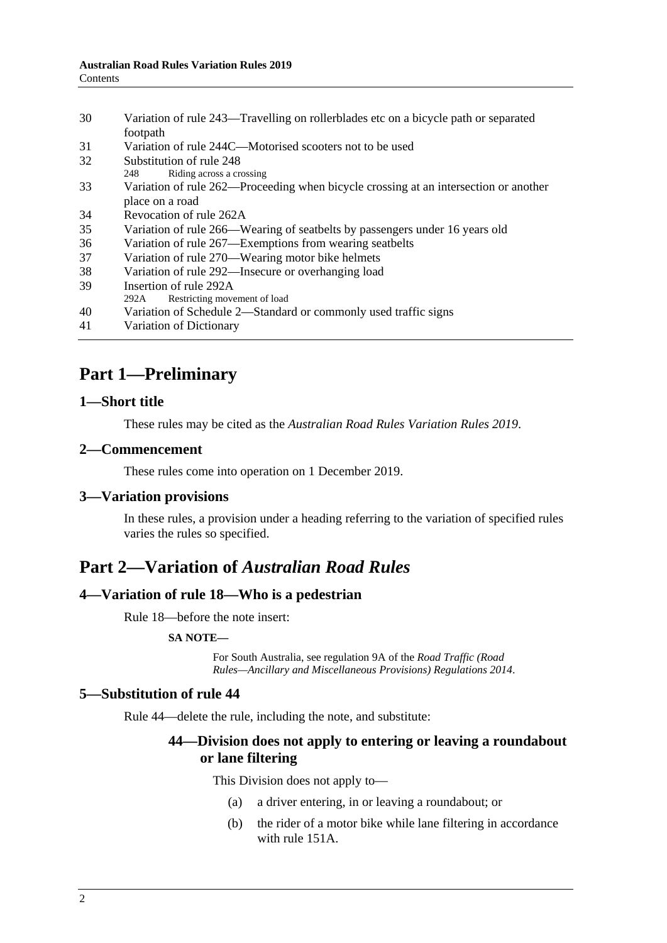| 30 | Variation of rule 243—Travelling on rollerblades etc on a bicycle path or separated  |
|----|--------------------------------------------------------------------------------------|
|    | footpath                                                                             |
| 31 | Variation of rule 244C—Motorised scooters not to be used                             |
| 32 | Substitution of rule 248                                                             |
|    | Riding across a crossing<br>248                                                      |
| 33 | Variation of rule 262—Proceeding when bicycle crossing at an intersection or another |
|    | place on a road                                                                      |
| 34 | Revocation of rule 262A                                                              |
| 35 | Variation of rule 266—Wearing of seatbelts by passengers under 16 years old          |
| 36 | Variation of rule 267—Exemptions from wearing seatbelts                              |
| 37 | Variation of rule 270—Wearing motor bike helmets                                     |
| 38 | Variation of rule 292—Insecure or overhanging load                                   |
| 39 | Insertion of rule 292A                                                               |
|    | Restricting movement of load<br>292A                                                 |
| 40 | Variation of Schedule 2—Standard or commonly used traffic signs                      |
| 41 | Variation of Dictionary                                                              |

# <span id="page-1-0"></span>**Part 1—Preliminary**

### <span id="page-1-1"></span>**1—Short title**

These rules may be cited as the *[Australian Road Rules Variation Rules](http://www.legislation.sa.gov.au/index.aspx?action=legref&type=subordleg&legtitle=Australian%20Road%20Rules%20Variation%20Rules%202019) 2019*.

### <span id="page-1-2"></span>**2—Commencement**

These rules come into operation on 1 December 2019.

### <span id="page-1-3"></span>**3—Variation provisions**

In these rules, a provision under a heading referring to the variation of specified rules varies the rules so specified.

## <span id="page-1-4"></span>**Part 2—Variation of** *Australian Road Rules*

### <span id="page-1-5"></span>**4—Variation of rule 18—Who is a pedestrian**

Rule 18—before the note insert:

#### **SA NOTE—**

For South Australia, see regulation 9A of the *[Road Traffic \(Road](http://www.legislation.sa.gov.au/index.aspx?action=legref&type=act&legtitle=Road%20Traffic%20(Road%20Rules%E2%80%94Ancillary%20and%20Miscellaneous%20Provisions)%20Regulations%202014) [Rules—Ancillary and Miscellaneous Provisions\) Regulations](http://www.legislation.sa.gov.au/index.aspx?action=legref&type=act&legtitle=Road%20Traffic%20(Road%20Rules%E2%80%94Ancillary%20and%20Miscellaneous%20Provisions)%20Regulations%202014) 2014*.

### <span id="page-1-6"></span>**5—Substitution of rule 44**

Rule 44—delete the rule, including the note, and substitute:

### **44—Division does not apply to entering or leaving a roundabout or lane filtering**

This Division does not apply to—

- (a) a driver entering, in or leaving a roundabout; or
- (b) the rider of a motor bike while lane filtering in accordance with rule 151A.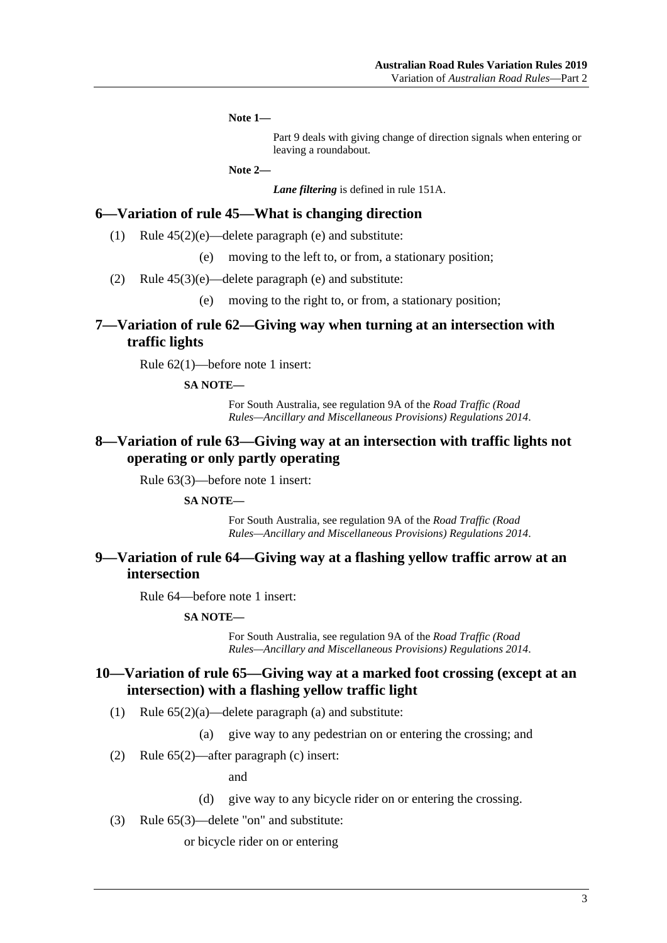**Note 1—**

Part 9 deals with giving change of direction signals when entering or leaving a roundabout.

**Note 2—**

*Lane filtering* is defined in rule 151A.

### <span id="page-2-0"></span>**6—Variation of rule 45—What is changing direction**

- (1) Rule  $45(2)(e)$ —delete paragraph (e) and substitute:
	- (e) moving to the left to, or from, a stationary position;
- (2) Rule 45(3)(e)—delete paragraph (e) and substitute:
	- (e) moving to the right to, or from, a stationary position;

### <span id="page-2-1"></span>**7—Variation of rule 62—Giving way when turning at an intersection with traffic lights**

Rule 62(1)—before note 1 insert:

#### **SA NOTE—**

For South Australia, see regulation 9A of the *[Road Traffic \(Road](http://www.legislation.sa.gov.au/index.aspx?action=legref&type=act&legtitle=Road%20Traffic%20(Road%20Rules%E2%80%94Ancillary%20and%20Miscellaneous%20Provisions)%20Regulations%202014)  [Rules—Ancillary and Miscellaneous Provisions\) Regulations](http://www.legislation.sa.gov.au/index.aspx?action=legref&type=act&legtitle=Road%20Traffic%20(Road%20Rules%E2%80%94Ancillary%20and%20Miscellaneous%20Provisions)%20Regulations%202014) 2014*.

### <span id="page-2-2"></span>**8—Variation of rule 63—Giving way at an intersection with traffic lights not operating or only partly operating**

Rule 63(3)—before note 1 insert:

#### **SA NOTE—**

For South Australia, see regulation 9A of the *[Road Traffic \(Road](http://www.legislation.sa.gov.au/index.aspx?action=legref&type=act&legtitle=Road%20Traffic%20(Road%20Rules%E2%80%94Ancillary%20and%20Miscellaneous%20Provisions)%20Regulations%202014)  [Rules—Ancillary and Miscellaneous Provisions\) Regulations](http://www.legislation.sa.gov.au/index.aspx?action=legref&type=act&legtitle=Road%20Traffic%20(Road%20Rules%E2%80%94Ancillary%20and%20Miscellaneous%20Provisions)%20Regulations%202014) 2014*.

### <span id="page-2-3"></span>**9—Variation of rule 64—Giving way at a flashing yellow traffic arrow at an intersection**

Rule 64—before note 1 insert:

#### **SA NOTE—**

For South Australia, see regulation 9A of the *[Road Traffic \(Road](http://www.legislation.sa.gov.au/index.aspx?action=legref&type=act&legtitle=Road%20Traffic%20(Road%20Rules%E2%80%94Ancillary%20and%20Miscellaneous%20Provisions)%20Regulations%202014)  [Rules—Ancillary and Miscellaneous Provisions\) Regulations](http://www.legislation.sa.gov.au/index.aspx?action=legref&type=act&legtitle=Road%20Traffic%20(Road%20Rules%E2%80%94Ancillary%20and%20Miscellaneous%20Provisions)%20Regulations%202014) 2014*.

### <span id="page-2-4"></span>**10—Variation of rule 65—Giving way at a marked foot crossing (except at an intersection) with a flashing yellow traffic light**

- (1) Rule  $65(2)(a)$ —delete paragraph (a) and substitute:
	- (a) give way to any pedestrian on or entering the crossing; and
- (2) Rule 65(2)—after paragraph (c) insert:

and

- (d) give way to any bicycle rider on or entering the crossing.
- (3) Rule 65(3)—delete "on" and substitute:

or bicycle rider on or entering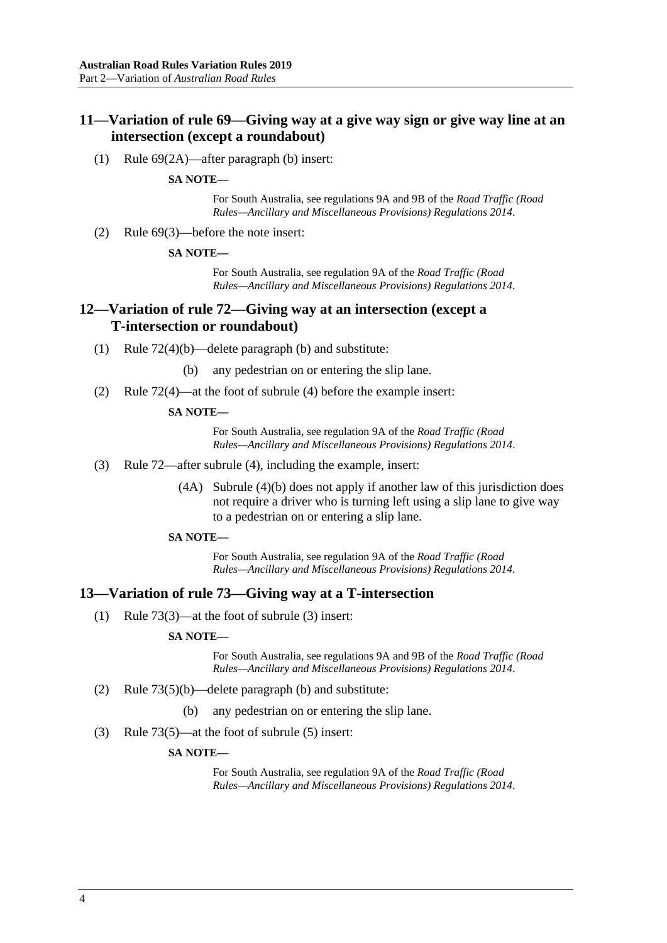### <span id="page-3-0"></span>**11—Variation of rule 69—Giving way at a give way sign or give way line at an intersection (except a roundabout)**

(1) Rule 69(2A)—after paragraph (b) insert:

#### **SA NOTE—**

For South Australia, see regulations 9A and 9B of the *[Road Traffic \(Road](http://www.legislation.sa.gov.au/index.aspx?action=legref&type=act&legtitle=Road%20Traffic%20(Road%20Rules%E2%80%94Ancillary%20and%20Miscellaneous%20Provisions)%20Regulations%202014)  [Rules—Ancillary and Miscellaneous Provisions\) Regulations](http://www.legislation.sa.gov.au/index.aspx?action=legref&type=act&legtitle=Road%20Traffic%20(Road%20Rules%E2%80%94Ancillary%20and%20Miscellaneous%20Provisions)%20Regulations%202014) 2014*.

(2) Rule 69(3)—before the note insert:

#### **SA NOTE—**

For South Australia, see regulation 9A of the *[Road Traffic \(Road](http://www.legislation.sa.gov.au/index.aspx?action=legref&type=act&legtitle=Road%20Traffic%20(Road%20Rules%E2%80%94Ancillary%20and%20Miscellaneous%20Provisions)%20Regulations%202014)  [Rules—Ancillary and Miscellaneous Provisions\) Regulations](http://www.legislation.sa.gov.au/index.aspx?action=legref&type=act&legtitle=Road%20Traffic%20(Road%20Rules%E2%80%94Ancillary%20and%20Miscellaneous%20Provisions)%20Regulations%202014) 2014*.

### <span id="page-3-1"></span>**12—Variation of rule 72—Giving way at an intersection (except a T-intersection or roundabout)**

- (1) Rule 72(4)(b)—delete paragraph (b) and substitute:
	- (b) any pedestrian on or entering the slip lane.
- (2) Rule 72(4)—at the foot of subrule (4) before the example insert:

#### **SA NOTE—**

For South Australia, see regulation 9A of the *[Road Traffic \(Road](http://www.legislation.sa.gov.au/index.aspx?action=legref&type=act&legtitle=Road%20Traffic%20(Road%20Rules%E2%80%94Ancillary%20and%20Miscellaneous%20Provisions)%20Regulations%202014)  [Rules—Ancillary and Miscellaneous Provisions\) Regulations](http://www.legislation.sa.gov.au/index.aspx?action=legref&type=act&legtitle=Road%20Traffic%20(Road%20Rules%E2%80%94Ancillary%20and%20Miscellaneous%20Provisions)%20Regulations%202014) 2014*.

- (3) Rule 72—after subrule (4), including the example, insert:
	- (4A) Subrule (4)(b) does not apply if another law of this jurisdiction does not require a driver who is turning left using a slip lane to give way to a pedestrian on or entering a slip lane.

#### **SA NOTE—**

For South Australia, see regulation 9A of the *[Road Traffic \(Road](http://www.legislation.sa.gov.au/index.aspx?action=legref&type=act&legtitle=Road%20Traffic%20(Road%20Rules%E2%80%94Ancillary%20and%20Miscellaneous%20Provisions)%20Regulations%202014.)  [Rules—Ancillary and Miscellaneous Provisions\) Regulations](http://www.legislation.sa.gov.au/index.aspx?action=legref&type=act&legtitle=Road%20Traffic%20(Road%20Rules%E2%80%94Ancillary%20and%20Miscellaneous%20Provisions)%20Regulations%202014.) 2014.*

#### <span id="page-3-2"></span>**13—Variation of rule 73—Giving way at a T-intersection**

(1) Rule 73(3)—at the foot of subrule (3) insert:

#### **SA NOTE—**

For South Australia, see regulations 9A and 9B of the *[Road Traffic \(Road](http://www.legislation.sa.gov.au/index.aspx?action=legref&type=act&legtitle=Road%20Traffic%20(Road%20Rules%E2%80%94Ancillary%20and%20Miscellaneous%20Provisions)%20Regulations%202014)  [Rules—Ancillary and Miscellaneous Provisions\) Regulations](http://www.legislation.sa.gov.au/index.aspx?action=legref&type=act&legtitle=Road%20Traffic%20(Road%20Rules%E2%80%94Ancillary%20and%20Miscellaneous%20Provisions)%20Regulations%202014) 2014*.

- (2) Rule 73(5)(b)—delete paragraph (b) and substitute:
	- (b) any pedestrian on or entering the slip lane.
- (3) Rule 73(5)—at the foot of subrule (5) insert:

#### **SA NOTE—**

For South Australia, see regulation 9A of the *[Road Traffic \(Road](http://www.legislation.sa.gov.au/index.aspx?action=legref&type=act&legtitle=Road%20Traffic%20(Road%20Rules%E2%80%94Ancillary%20and%20Miscellaneous%20Provisions)%20Regulations%202014)  [Rules—Ancillary and Miscellaneous Provisions\) Regulations](http://www.legislation.sa.gov.au/index.aspx?action=legref&type=act&legtitle=Road%20Traffic%20(Road%20Rules%E2%80%94Ancillary%20and%20Miscellaneous%20Provisions)%20Regulations%202014) 2014*.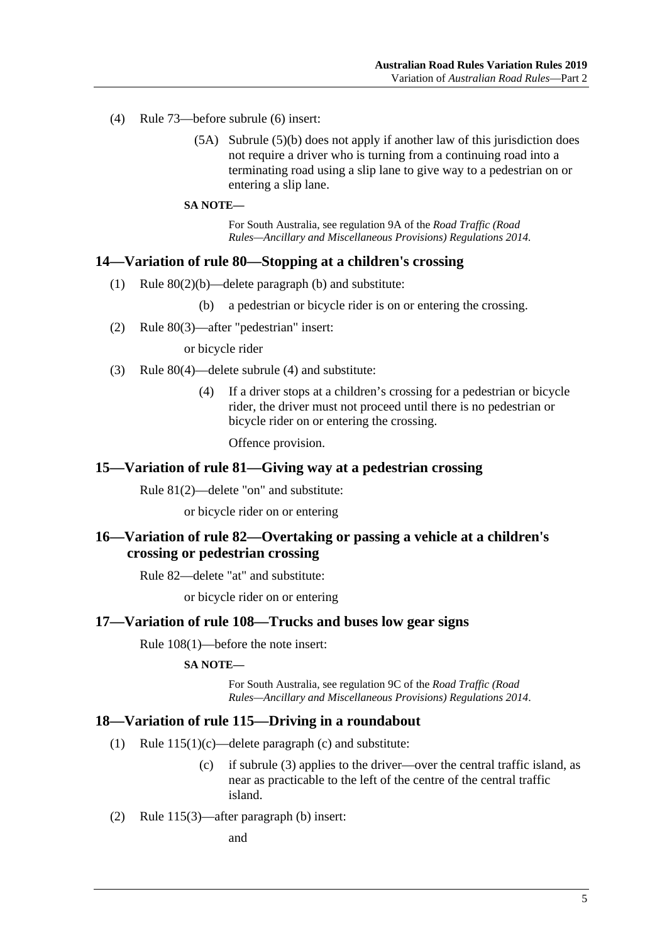- (4) Rule 73—before subrule (6) insert:
	- (5A) Subrule (5)(b) does not apply if another law of this jurisdiction does not require a driver who is turning from a continuing road into a terminating road using a slip lane to give way to a pedestrian on or entering a slip lane.

#### **SA NOTE—**

For South Australia, see regulation 9A of the *[Road Traffic \(Road](http://www.legislation.sa.gov.au/index.aspx?action=legref&type=act&legtitle=Road%20Traffic%20(Road%20Rules%E2%80%94Ancillary%20and%20Miscellaneous%20Provisions)%20Regulations%202014.)  [Rules—Ancillary and Miscellaneous Provisions\) Regulations](http://www.legislation.sa.gov.au/index.aspx?action=legref&type=act&legtitle=Road%20Traffic%20(Road%20Rules%E2%80%94Ancillary%20and%20Miscellaneous%20Provisions)%20Regulations%202014.) 2014.*

#### <span id="page-4-0"></span>**14—Variation of rule 80—Stopping at a children's crossing**

(1) Rule 80(2)(b)—delete paragraph (b) and substitute:

(b) a pedestrian or bicycle rider is on or entering the crossing.

(2) Rule 80(3)—after "pedestrian" insert:

or bicycle rider

- (3) Rule 80(4)—delete subrule (4) and substitute:
	- (4) If a driver stops at a children's crossing for a pedestrian or bicycle rider, the driver must not proceed until there is no pedestrian or bicycle rider on or entering the crossing.

Offence provision.

#### <span id="page-4-1"></span>**15—Variation of rule 81—Giving way at a pedestrian crossing**

Rule 81(2)—delete "on" and substitute:

or bicycle rider on or entering

### <span id="page-4-2"></span>**16—Variation of rule 82—Overtaking or passing a vehicle at a children's crossing or pedestrian crossing**

Rule 82—delete "at" and substitute:

or bicycle rider on or entering

#### <span id="page-4-3"></span>**17—Variation of rule 108—Trucks and buses low gear signs**

Rule 108(1)—before the note insert:

#### **SA NOTE—**

For South Australia, see regulation 9C of the *[Road Traffic \(Road](http://www.legislation.sa.gov.au/index.aspx?action=legref&type=act&legtitle=Road%20Traffic%20(Road%20Rules%E2%80%94Ancillary%20and%20Miscellaneous%20Provisions)%20Regulations%202014)  [Rules—Ancillary and Miscellaneous Provisions\) Regulations](http://www.legislation.sa.gov.au/index.aspx?action=legref&type=act&legtitle=Road%20Traffic%20(Road%20Rules%E2%80%94Ancillary%20and%20Miscellaneous%20Provisions)%20Regulations%202014) 2014*.

#### <span id="page-4-4"></span>**18—Variation of rule 115—Driving in a roundabout**

- (1) Rule 115(1)(c)—delete paragraph (c) and substitute:
	- (c) if subrule (3) applies to the driver—over the central traffic island, as near as practicable to the left of the centre of the central traffic island.
- (2) Rule 115(3)—after paragraph (b) insert:

and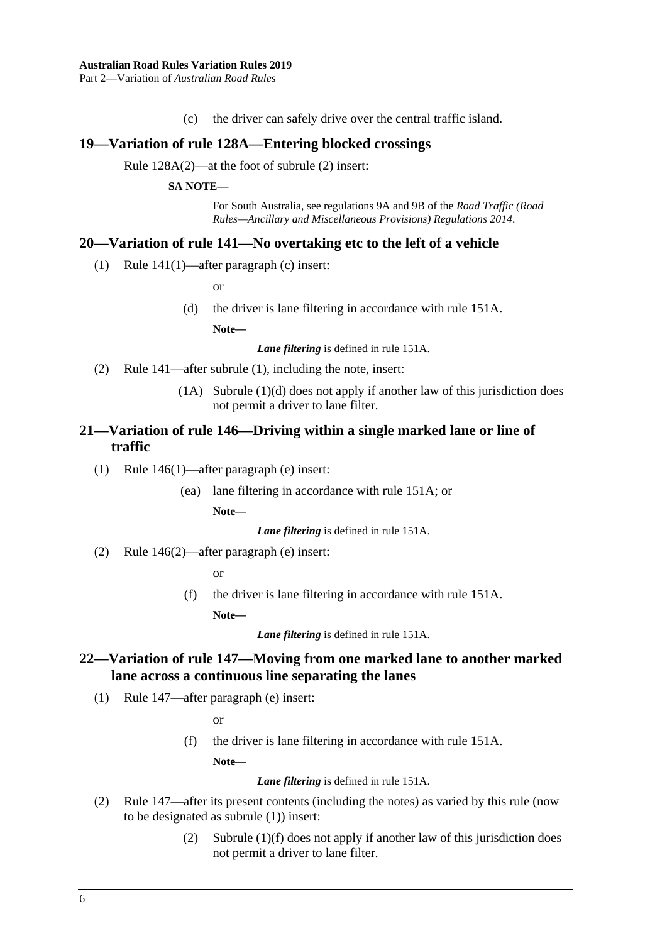(c) the driver can safely drive over the central traffic island.

#### <span id="page-5-0"></span>**19—Variation of rule 128A—Entering blocked crossings**

Rule 128A(2)—at the foot of subrule (2) insert:

#### **SA NOTE—**

For South Australia, see regulations 9A and 9B of the *[Road Traffic \(Road](http://www.legislation.sa.gov.au/index.aspx?action=legref&type=act&legtitle=Road%20Traffic%20(Road%20Rules%E2%80%94Ancillary%20and%20Miscellaneous%20Provisions)%20Regulations%202014)  [Rules—Ancillary and Miscellaneous Provisions\) Regulations](http://www.legislation.sa.gov.au/index.aspx?action=legref&type=act&legtitle=Road%20Traffic%20(Road%20Rules%E2%80%94Ancillary%20and%20Miscellaneous%20Provisions)%20Regulations%202014) 2014*.

### <span id="page-5-1"></span>**20—Variation of rule 141—No overtaking etc to the left of a vehicle**

(1) Rule 141(1)—after paragraph (c) insert:

or

(d) the driver is lane filtering in accordance with rule 151A.

**Note—**

*Lane filtering* is defined in rule 151A.

- (2) Rule 141—after subrule (1), including the note, insert:
	- (1A) Subrule (1)(d) does not apply if another law of this jurisdiction does not permit a driver to lane filter.

### <span id="page-5-2"></span>**21—Variation of rule 146—Driving within a single marked lane or line of traffic**

- (1) Rule 146(1)—after paragraph (e) insert:
	- (ea) lane filtering in accordance with rule 151A; or

**Note—**

*Lane filtering* is defined in rule 151A.

(2) Rule 146(2)—after paragraph (e) insert:

or

(f) the driver is lane filtering in accordance with rule 151A.

**Note—**

*Lane filtering* is defined in rule 151A.

### <span id="page-5-3"></span>**22—Variation of rule 147—Moving from one marked lane to another marked lane across a continuous line separating the lanes**

(1) Rule 147—after paragraph (e) insert:

or

(f) the driver is lane filtering in accordance with rule 151A.

**Note—**

*Lane filtering* is defined in rule 151A.

- (2) Rule 147—after its present contents (including the notes) as varied by this rule (now to be designated as subrule (1)) insert:
	- (2) Subrule (1)(f) does not apply if another law of this jurisdiction does not permit a driver to lane filter.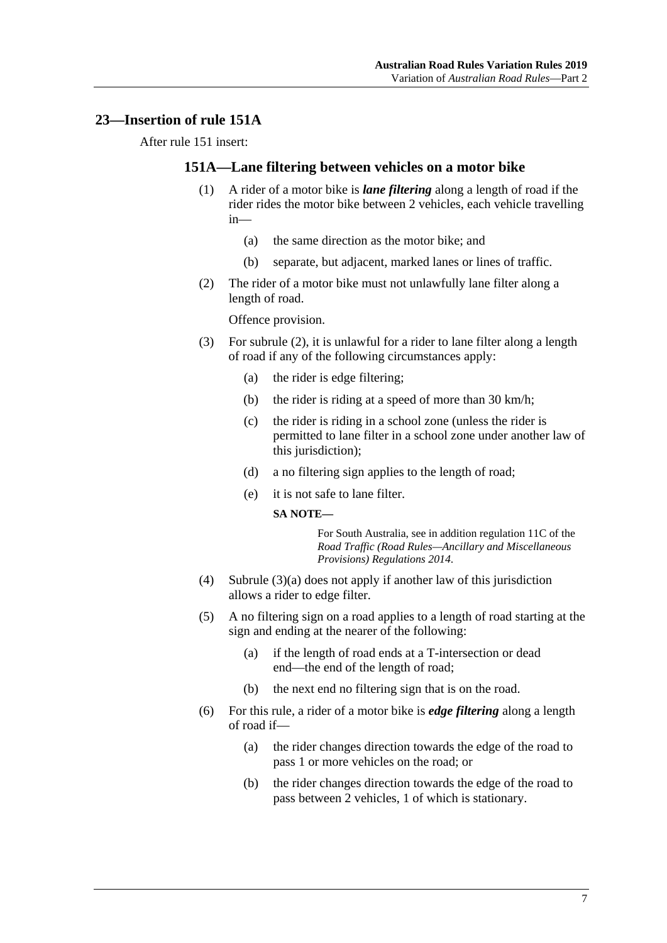### <span id="page-6-0"></span>**23—Insertion of rule 151A**

After rule 151 insert:

### **151A—Lane filtering between vehicles on a motor bike**

- (1) A rider of a motor bike is *lane filtering* along a length of road if the rider rides the motor bike between 2 vehicles, each vehicle travelling in—
	- (a) the same direction as the motor bike; and
	- (b) separate, but adjacent, marked lanes or lines of traffic.
- <span id="page-6-1"></span>(2) The rider of a motor bike must not unlawfully lane filter along a length of road.

Offence provision.

- <span id="page-6-2"></span>(3) For [subrule](#page-6-1) (2), it is unlawful for a rider to lane filter along a length of road if any of the following circumstances apply:
	- (a) the rider is edge filtering;
	- (b) the rider is riding at a speed of more than 30 km/h;
	- (c) the rider is riding in a school zone (unless the rider is permitted to lane filter in a school zone under another law of this jurisdiction);
	- (d) a no filtering sign applies to the length of road;
	- (e) it is not safe to lane filter.

#### **SA NOTE—**

For South Australia, see in addition regulation 11C of the *[Road Traffic \(Road Rules—Ancillary and Miscellaneous](http://www.legislation.sa.gov.au/index.aspx?action=legref&type=act&legtitle=Road%20Traffic%20(Road%20Rules%E2%80%94Ancillary%20and%20Miscellaneous%20Provisions)%20Regulations%202014)  [Provisions\) Regulations](http://www.legislation.sa.gov.au/index.aspx?action=legref&type=act&legtitle=Road%20Traffic%20(Road%20Rules%E2%80%94Ancillary%20and%20Miscellaneous%20Provisions)%20Regulations%202014) 2014*.

- (4) [Subrule](#page-6-2) (3)(a) does not apply if another law of this jurisdiction allows a rider to edge filter.
- (5) A no filtering sign on a road applies to a length of road starting at the sign and ending at the nearer of the following:
	- (a) if the length of road ends at a T-intersection or dead end—the end of the length of road;
	- (b) the next end no filtering sign that is on the road.
- (6) For this rule, a rider of a motor bike is *edge filtering* along a length of road if—
	- (a) the rider changes direction towards the edge of the road to pass 1 or more vehicles on the road; or
	- (b) the rider changes direction towards the edge of the road to pass between 2 vehicles, 1 of which is stationary.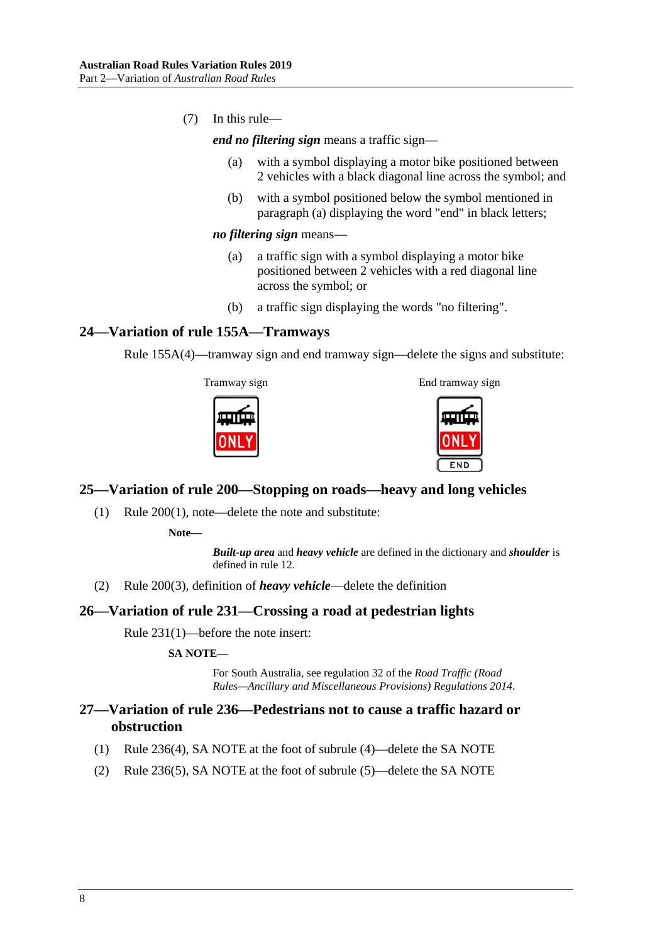<span id="page-7-4"></span>(7) In this rule—

*end no filtering sign* means a traffic sign—

- (a) with a symbol displaying a motor bike positioned between 2 vehicles with a black diagonal line across the symbol; and
- (b) with a symbol positioned below the symbol mentioned in [paragraph](#page-7-4) (a) displaying the word "end" in black letters;

#### *no filtering sign* means—

- (a) a traffic sign with a symbol displaying a motor bike positioned between 2 vehicles with a red diagonal line across the symbol; or
- (b) a traffic sign displaying the words "no filtering".

### <span id="page-7-0"></span>**24—Variation of rule 155A—Tramways**

Rule 155A(4)—tramway sign and end tramway sign—delete the signs and substitute:

Tramway sign End tramway sign





### <span id="page-7-1"></span>**25—Variation of rule 200—Stopping on roads—heavy and long vehicles**

(1) Rule 200(1), note—delete the note and substitute:

**Note—**

*Built-up area* and *heavy vehicle* are defined in the dictionary and *shoulder* is defined in rule 12.

(2) Rule 200(3), definition of *heavy vehicle*—delete the definition

### <span id="page-7-2"></span>**26—Variation of rule 231—Crossing a road at pedestrian lights**

Rule 231(1)—before the note insert:

#### **SA NOTE—**

For South Australia, see regulation 32 of the *[Road Traffic \(Road](http://www.legislation.sa.gov.au/index.aspx?action=legref&type=act&legtitle=Road%20Traffic%20(Road%20Rules%E2%80%94Ancillary%20and%20Miscellaneous%20Provisions)%20Regulations%202014)  [Rules—Ancillary and Miscellaneous Provisions\) Regulations](http://www.legislation.sa.gov.au/index.aspx?action=legref&type=act&legtitle=Road%20Traffic%20(Road%20Rules%E2%80%94Ancillary%20and%20Miscellaneous%20Provisions)%20Regulations%202014) 2014*.

### <span id="page-7-3"></span>**27—Variation of rule 236—Pedestrians not to cause a traffic hazard or obstruction**

- (1) Rule 236(4), SA NOTE at the foot of subrule (4)—delete the SA NOTE
- (2) Rule 236(5), SA NOTE at the foot of subrule (5)—delete the SA NOTE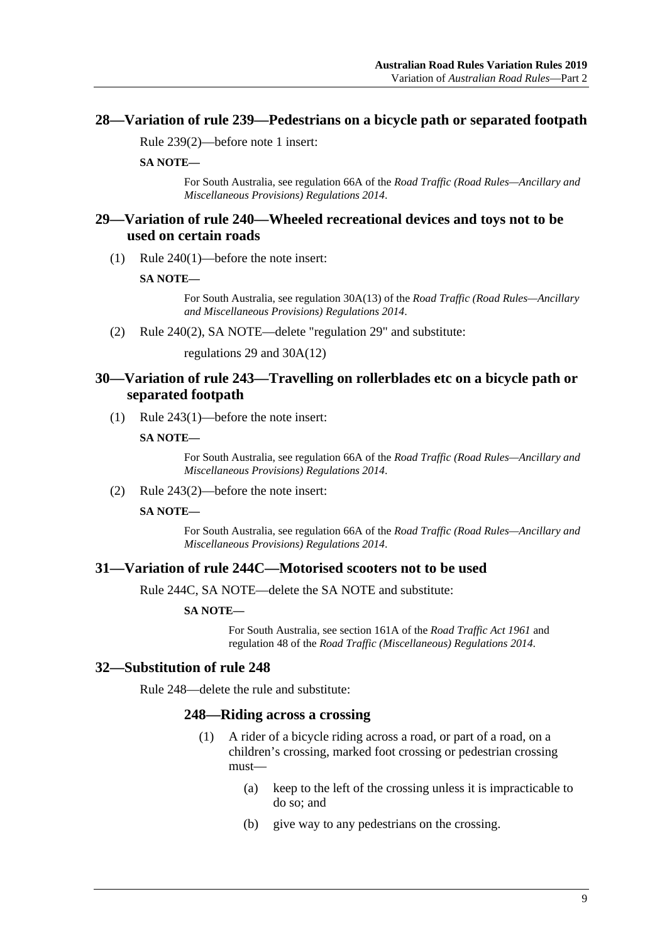### <span id="page-8-0"></span>**28—Variation of rule 239—Pedestrians on a bicycle path or separated footpath**

Rule 239(2)—before note 1 insert:

**SA NOTE—**

For South Australia, see regulation 66A of the *[Road Traffic \(Road Rules—Ancillary and](http://www.legislation.sa.gov.au/index.aspx?action=legref&type=act&legtitle=Road%20Traffic%20(Road%20Rules%E2%80%94Ancillary%20and%20Miscellaneous%20Provisions)%20Regulations%202014)  [Miscellaneous Provisions\) Regulations](http://www.legislation.sa.gov.au/index.aspx?action=legref&type=act&legtitle=Road%20Traffic%20(Road%20Rules%E2%80%94Ancillary%20and%20Miscellaneous%20Provisions)%20Regulations%202014) 2014*.

### <span id="page-8-1"></span>**29—Variation of rule 240—Wheeled recreational devices and toys not to be used on certain roads**

(1) Rule 240(1)—before the note insert:

**SA NOTE—**

For South Australia, see regulation 30A(13) of the *[Road Traffic \(Road Rules—Ancillary](http://www.legislation.sa.gov.au/index.aspx?action=legref&type=act&legtitle=Road%20Traffic%20(Road%20Rules%E2%80%94Ancillary%20and%20Miscellaneous%20Provisions)%20Regulations%202014)  [and Miscellaneous Provisions\) Regulations](http://www.legislation.sa.gov.au/index.aspx?action=legref&type=act&legtitle=Road%20Traffic%20(Road%20Rules%E2%80%94Ancillary%20and%20Miscellaneous%20Provisions)%20Regulations%202014) 2014*.

(2) Rule 240(2), SA NOTE—delete "regulation 29" and substitute:

regulations 29 and 30A(12)

### <span id="page-8-2"></span>**30—Variation of rule 243—Travelling on rollerblades etc on a bicycle path or separated footpath**

(1) Rule 243(1)—before the note insert:

**SA NOTE—**

For South Australia, see regulation 66A of the *[Road Traffic \(Road Rules—Ancillary and](http://www.legislation.sa.gov.au/index.aspx?action=legref&type=act&legtitle=Road%20Traffic%20(Road%20Rules%E2%80%94Ancillary%20and%20Miscellaneous%20Provisions)%20Regulations%202014) [Miscellaneous Provisions\) Regulations](http://www.legislation.sa.gov.au/index.aspx?action=legref&type=act&legtitle=Road%20Traffic%20(Road%20Rules%E2%80%94Ancillary%20and%20Miscellaneous%20Provisions)%20Regulations%202014) 2014*.

(2) Rule 243(2)—before the note insert:

**SA NOTE—**

For South Australia, see regulation 66A of the *[Road Traffic \(Road Rules—Ancillary and](http://www.legislation.sa.gov.au/index.aspx?action=legref&type=act&legtitle=Road%20Traffic%20(Road%20Rules%E2%80%94Ancillary%20and%20Miscellaneous%20Provisions)%20Regulations%202014)  [Miscellaneous Provisions\) Regulations](http://www.legislation.sa.gov.au/index.aspx?action=legref&type=act&legtitle=Road%20Traffic%20(Road%20Rules%E2%80%94Ancillary%20and%20Miscellaneous%20Provisions)%20Regulations%202014) 2014*.

### <span id="page-8-3"></span>**31—Variation of rule 244C—Motorised scooters not to be used**

Rule 244C, SA NOTE—delete the SA NOTE and substitute:

#### **SA NOTE—**

For South Australia, see section 161A of the *[Road Traffic Act](http://www.legislation.sa.gov.au/index.aspx?action=legref&type=act&legtitle=Road%20Traffic%20Act%201961) 1961* and regulation 48 of the *[Road Traffic \(Miscellaneous\) Regulations](http://www.legislation.sa.gov.au/index.aspx?action=legref&type=subordleg&legtitle=Road%20Traffic%20(Miscellaneous)%20Regulations%202014) 2014*.

#### <span id="page-8-4"></span>**32—Substitution of rule 248**

Rule 248—delete the rule and substitute:

#### **248—Riding across a crossing**

- (1) A rider of a bicycle riding across a road, or part of a road, on a children's crossing, marked foot crossing or pedestrian crossing must—
	- (a) keep to the left of the crossing unless it is impracticable to do so; and
	- (b) give way to any pedestrians on the crossing.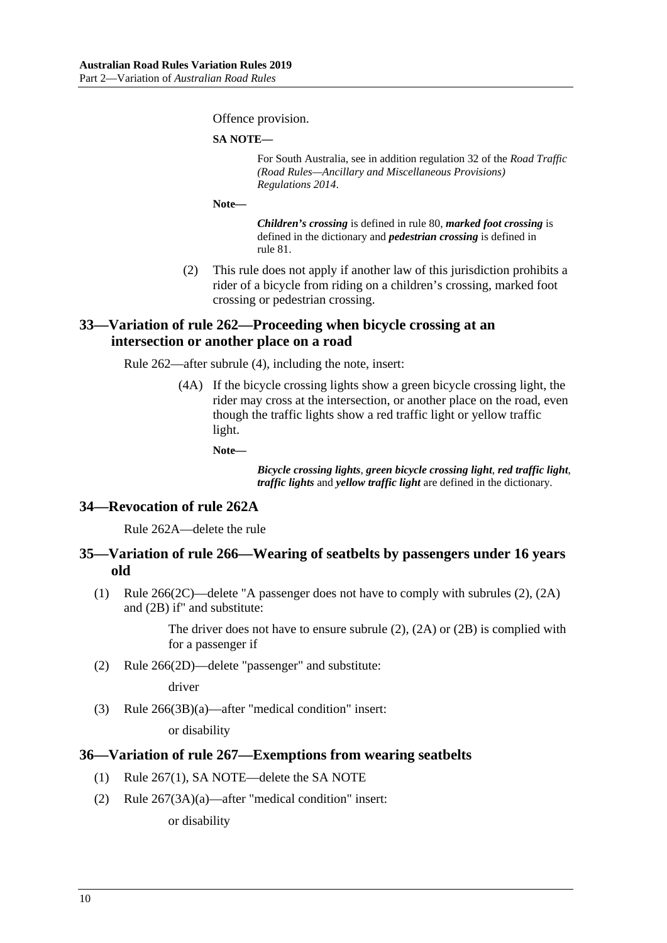Offence provision.

**SA NOTE—**

For South Australia, see in addition regulation 32 of the *[Road Traffic](http://www.legislation.sa.gov.au/index.aspx?action=legref&type=act&legtitle=Road%20Traffic%20(Road%20Rules%E2%80%94Ancillary%20and%20Miscellaneous%20Provisions)%20Regulations%202014)  [\(Road Rules—Ancillary and Miscellaneous Provisions\)](http://www.legislation.sa.gov.au/index.aspx?action=legref&type=act&legtitle=Road%20Traffic%20(Road%20Rules%E2%80%94Ancillary%20and%20Miscellaneous%20Provisions)%20Regulations%202014)  [Regulations](http://www.legislation.sa.gov.au/index.aspx?action=legref&type=act&legtitle=Road%20Traffic%20(Road%20Rules%E2%80%94Ancillary%20and%20Miscellaneous%20Provisions)%20Regulations%202014) 2014*.

**Note—**

*Children's crossing* is defined in rule 80, *marked foot crossing* is defined in the dictionary and *pedestrian crossing* is defined in rule 81.

(2) This rule does not apply if another law of this jurisdiction prohibits a rider of a bicycle from riding on a children's crossing, marked foot crossing or pedestrian crossing.

### <span id="page-9-0"></span>**33—Variation of rule 262—Proceeding when bicycle crossing at an intersection or another place on a road**

Rule 262—after subrule (4), including the note, insert:

(4A) If the bicycle crossing lights show a green bicycle crossing light, the rider may cross at the intersection, or another place on the road, even though the traffic lights show a red traffic light or yellow traffic light.

**Note—**

*Bicycle crossing lights*, *green bicycle crossing light*, *red traffic light*, *traffic lights* and *yellow traffic light* are defined in the dictionary.

### <span id="page-9-1"></span>**34—Revocation of rule 262A**

Rule 262A—delete the rule

### <span id="page-9-2"></span>**35—Variation of rule 266—Wearing of seatbelts by passengers under 16 years old**

(1) Rule 266(2C)—delete "A passenger does not have to comply with subrules (2), (2A) and (2B) if" and substitute:

> The driver does not have to ensure subrule (2), (2A) or (2B) is complied with for a passenger if

(2) Rule 266(2D)—delete "passenger" and substitute:

driver

(3) Rule 266(3B)(a)—after "medical condition" insert:

or disability

### <span id="page-9-3"></span>**36—Variation of rule 267—Exemptions from wearing seatbelts**

- (1) Rule 267(1), SA NOTE—delete the SA NOTE
- (2) Rule 267(3A)(a)—after "medical condition" insert:

or disability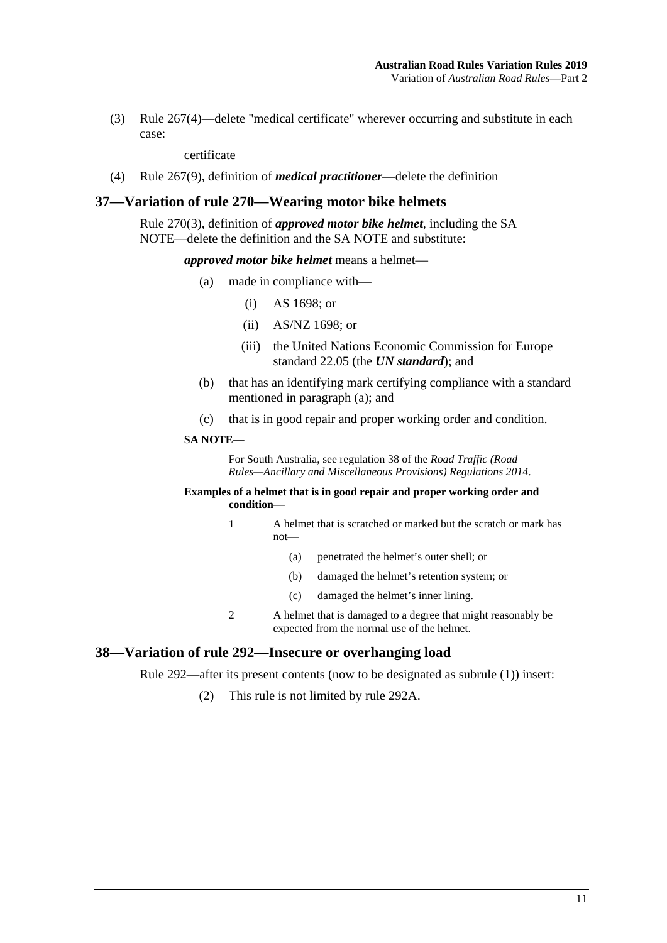(3) Rule 267(4)—delete "medical certificate" wherever occurring and substitute in each case:

certificate

(4) Rule 267(9), definition of *medical practitioner*—delete the definition

#### <span id="page-10-0"></span>**37—Variation of rule 270—Wearing motor bike helmets**

Rule 270(3), definition of *approved motor bike helmet*, including the SA NOTE—delete the definition and the SA NOTE and substitute:

*approved motor bike helmet* means a helmet—

- (a) made in compliance with—
	- (i) AS 1698; or
	- (ii) AS/NZ 1698; or
	- (iii) the United Nations Economic Commission for Europe standard 22.05 (the *UN standard*); and
- (b) that has an identifying mark certifying compliance with a standard mentioned in paragraph (a); and
- (c) that is in good repair and proper working order and condition.

#### **SA NOTE—**

For South Australia, see regulation 38 of the *[Road Traffic \(Road](http://www.legislation.sa.gov.au/index.aspx?action=legref&type=subordleg&legtitle=Road%20Traffic%20(Road%20Rules%E2%80%94Ancillary%20and%20Miscellaneous%20Provisions)%20Regulations%202014)  [Rules—Ancillary and Miscellaneous Provisions\) Regulations](http://www.legislation.sa.gov.au/index.aspx?action=legref&type=subordleg&legtitle=Road%20Traffic%20(Road%20Rules%E2%80%94Ancillary%20and%20Miscellaneous%20Provisions)%20Regulations%202014) 2014*.

#### **Examples of a helmet that is in good repair and proper working order and condition—**

- 1 A helmet that is scratched or marked but the scratch or mark has not—
	- (a) penetrated the helmet's outer shell; or
	- (b) damaged the helmet's retention system; or
	- (c) damaged the helmet's inner lining.
- 2 A helmet that is damaged to a degree that might reasonably be expected from the normal use of the helmet.

#### <span id="page-10-1"></span>**38—Variation of rule 292—Insecure or overhanging load**

Rule 292—after its present contents (now to be designated as subrule (1)) insert:

(2) This rule is not limited by rule 292A.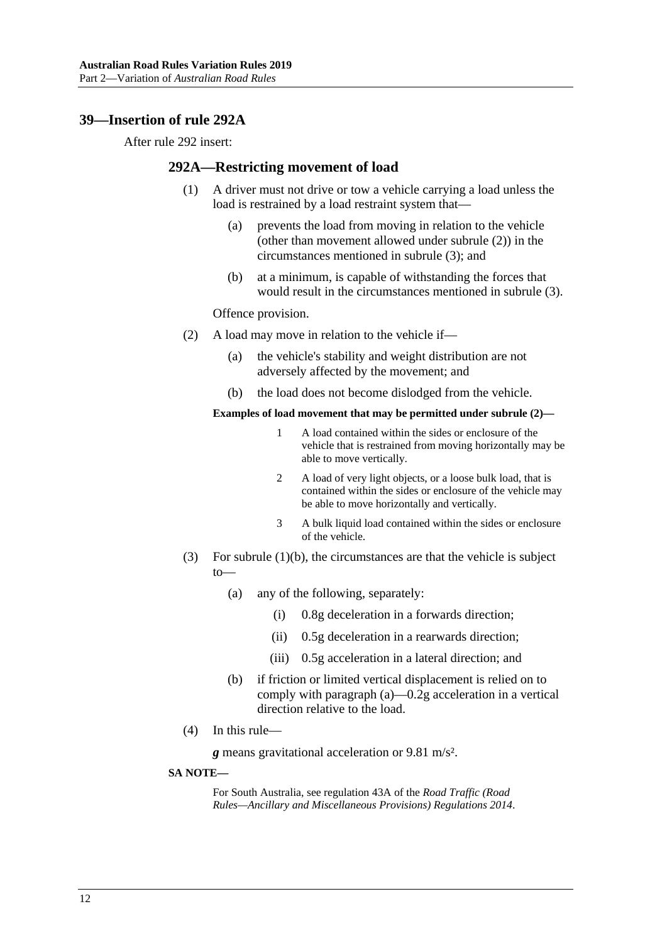### <span id="page-11-0"></span>**39—Insertion of rule 292A**

After rule 292 insert:

#### **292A—Restricting movement of load**

- (1) A driver must not drive or tow a vehicle carrying a load unless the load is restrained by a load restraint system that—
	- (a) prevents the load from moving in relation to the vehicle (other than movement allowed under [subrule](#page-11-1) (2)) in the circumstances mentioned in [subrule](#page-11-2) (3); and
	- (b) at a minimum, is capable of withstanding the forces that would result in the circumstances mentioned in [subrule](#page-11-2) (3).

Offence provision.

- <span id="page-11-3"></span><span id="page-11-1"></span>(2) A load may move in relation to the vehicle if—
	- (a) the vehicle's stability and weight distribution are not adversely affected by the movement; and
	- (b) the load does not become dislodged from the vehicle.

#### **Examples of load movement that may be permitted under [subrule](#page-11-1) (2)—**

- 1 A load contained within the sides or enclosure of the vehicle that is restrained from moving horizontally may be able to move vertically.
- 2 A load of very light objects, or a loose bulk load, that is contained within the sides or enclosure of the vehicle may be able to move horizontally and vertically.
- 3 A bulk liquid load contained within the sides or enclosure of the vehicle.
- <span id="page-11-4"></span><span id="page-11-2"></span>(3) For [subrule](#page-11-3) (1)(b), the circumstances are that the vehicle is subject to—
	- (a) any of the following, separately:
		- (i) 0.8g deceleration in a forwards direction;
		- (ii) 0.5g deceleration in a rearwards direction;
		- (iii) 0.5g acceleration in a lateral direction; and
	- (b) if friction or limited vertical displacement is relied on to comply with [paragraph](#page-11-4) (a)—0.2g acceleration in a vertical direction relative to the load.
- (4) In this rule—

*g* means gravitational acceleration or 9.81 m/s².

#### **SA NOTE—**

For South Australia, see regulation 43A of the *[Road Traffic \(Road](http://www.legislation.sa.gov.au/index.aspx?action=legref&type=subordleg&legtitle=Road%20Traffic%20(Road%20Rules%E2%80%94Ancillary%20and%20Miscellaneous%20Provisions)%20Regulations%202014)  [Rules—Ancillary and Miscellaneous Provisions\) Regulations](http://www.legislation.sa.gov.au/index.aspx?action=legref&type=subordleg&legtitle=Road%20Traffic%20(Road%20Rules%E2%80%94Ancillary%20and%20Miscellaneous%20Provisions)%20Regulations%202014) 2014*.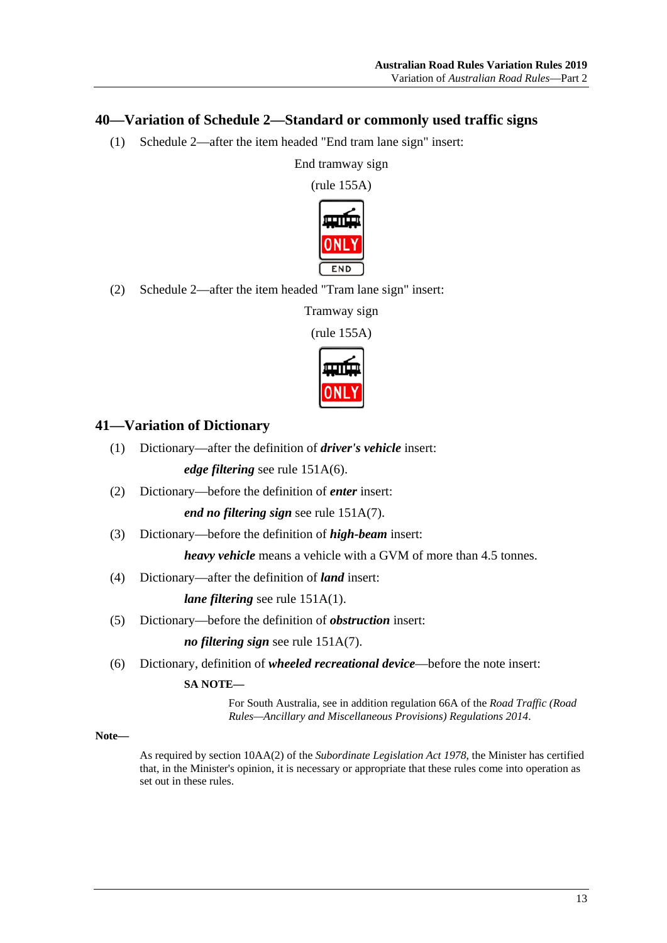### <span id="page-12-0"></span>**40—Variation of Schedule 2—Standard or commonly used traffic signs**

(1) Schedule 2—after the item headed "End tram lane sign" insert:

End tramway sign

(rule 155A)



(2) Schedule 2—after the item headed "Tram lane sign" insert:

Tramway sign

(rule 155A)



### <span id="page-12-1"></span>**41—Variation of Dictionary**

(1) Dictionary—after the definition of *driver's vehicle* insert:

*edge filtering* see rule 151A(6).

(2) Dictionary—before the definition of *enter* insert:

*end no filtering sign* see rule 151A(7).

(3) Dictionary—before the definition of *high-beam* insert:

*heavy vehicle* means a vehicle with a GVM of more than 4.5 tonnes.

(4) Dictionary—after the definition of *land* insert:

*lane filtering* see rule 151A(1).

(5) Dictionary—before the definition of *obstruction* insert:

*no filtering sign* see rule 151A(7).

(6) Dictionary, definition of *wheeled recreational device*—before the note insert:

### **SA NOTE—**

For South Australia, see in addition regulation 66A of the *[Road Traffic \(Road](http://www.legislation.sa.gov.au/index.aspx?action=legref&type=act&legtitle=Road%20Traffic%20(Road%20Rules%E2%80%94Ancillary%20and%20Miscellaneous%20Provisions)%20Regulations%202014)  [Rules—Ancillary and Miscellaneous Provisions\) Regulations](http://www.legislation.sa.gov.au/index.aspx?action=legref&type=act&legtitle=Road%20Traffic%20(Road%20Rules%E2%80%94Ancillary%20and%20Miscellaneous%20Provisions)%20Regulations%202014) 2014*.

#### **Note—**

As required by section 10AA(2) of the *[Subordinate Legislation Act](http://www.legislation.sa.gov.au/index.aspx?action=legref&type=act&legtitle=Subordinate%20Legislation%20Act%201978) 1978*, the Minister has certified that, in the Minister's opinion, it is necessary or appropriate that these rules come into operation as set out in these rules.